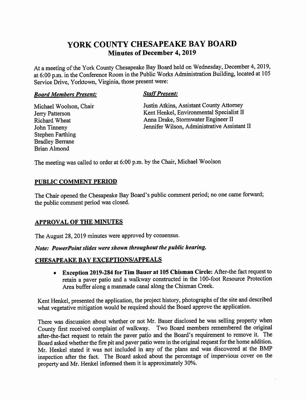# YORK COUNTY CHESAPEAKE BAY BOARD **Minutes of December 4, 2019**

At a meeting of the York County Chesapeake Bay Board held on Wednesday, December 4, 2019, at 6:00 p.m. in the Conference Room in the Public Works Administration Building, located at 105 Service Drive, Yorktown, Virginia, those present were:

### **Board Members Present:**

# **Staff Present:**

Michael Woolson, Chair Jerry Patterson Richard Wheat John Tinneny **Stephen Farthing Bradley Berrane Brian Almond** 

Justin Atkins, Assistant County Attorney Kent Henkel, Environmental Specialist II Anna Drake, Stormwater Engineer II Jennifer Wilson, Administrative Assistant II

The meeting was called to order at 6:00 p.m. by the Chair, Michael Woolson

# PUBLIC COMMENT PERIOD

The Chair opened the Chesapeake Bay Board's public comment period; no one came forward; the public comment period was closed.

# **APPROVAL OF THE MINUTES**

The August 28, 2019 minutes were approved by consensus.

Note: PowerPoint slides were shown throughout the public hearing.

# **CHESAPEAKE BAY EXCEPTIONS/APPEALS**

• Exception 2019-284 for Tim Bauer at 105 Chisman Circle: After-the fact request to retain a paver patio and a walkway constructed in the 100-foot Resource Protection Area buffer along a manmade canal along the Chisman Creek.

Kent Henkel, presented the application, the project history, photographs of the site and described what vegetative mitigation would be required should the Board approve the application.

There was discussion about whether or not Mr. Bauer disclosed he was selling property when County first received complaint of walkway. Two Board members remembered the original after-the-fact request to retain the paver patio and the Board's requirement to remove it. The Board asked whether the fire pit and paver patio were in the original request for the home addition. Mr. Henkel stated it was not included in any of the plans and was discovered at the BMP inspection after the fact. The Board asked about the percentage of impervious cover on the property and Mr. Henkel informed them it is approximately 30%.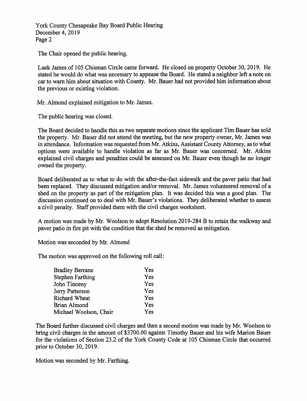York County Chesapeake Bay Board Public Hearing December 4, 2019 Page 2

The Chair opened the public hearing.

Luek James of 105 Chisman Circle came forward. He closed on property October 30, 2019. He stated he would do what was necessary to appease the Board. He stated a neighbor left a note on car to warn him about situation with County. Mr. Bauer had not provided him information about the previous or existing violation.

Mr. Almond explained mitigation to Mr. James.

The public hearing was closed.

The Board decided to handle this as two separate motions since the applicant Tim Bauer has sold the property. Mr. Bauer did not attend the meeting, but the new property owner, Mr. James was in attendance. Information was requested from Mr. Atkins, Assistant County Attorney, as to what options were available to handle violation as far as Mr. Bauer was concerned. Mr. Atkins explained civil charges and penalties could be assessed on Mr. Bauer even though he no longer owned the property.

Board deliberated as to what to do with the after-the-fact sidewalk and the paver patio that had been replaced. They discussed mitigation and/or removal. Mr. James volunteered removal of a shed on the property as part of the mitigation plan. It was decided this was a good plan. The discussion continued on to deal with Mr. Bauer's violations. They deliberated whether to assess a civil penalty. Staff provided them with the civil charges worksheet.

A motion was made by Mr. Woolson to adopt Resolution 2019-284 B to retain the walkway and paver patio in fire pit with the condition that the shed be removed as mitigation.

Motion was seconded by Mr. Almond

The motion was approved on the following roll call:

| <b>Bradley Berrane</b> | Yes |
|------------------------|-----|
| Stephen Farthing       | Yes |
| John Tinneny           | Yes |
| Jerry Patterson        | Yes |
| Richard Wheat          | Yes |
| Brian Almond           | Yes |
| Michael Woolson, Chair | Yes |

The Board further discussed civil charges and then a second motion was made by Mr. Woolson to bring civil charges in the amount of \$3700.00 against Timothy Bauer and his wife Marion Bauer for the violations of Section 23.2 of the York County Code at 105 Chisman Circle that occurred prior to October 30, 2019.

Motion was seconded by Mr. Farthing.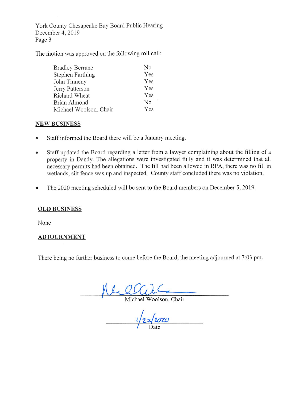York County Chesapeake Bay Board Public Hearing December 4, 2019 Page 3

The motion was approved on the following roll call:

| <b>Bradley Berrane</b> | No  |
|------------------------|-----|
| Stephen Farthing       | Yes |
| John Tinneny           | Yes |
| Jerry Patterson        | Yes |
| Richard Wheat          | Yes |
| Brian Almond           | No  |
| Michael Woolson, Chair | Yes |

# **NEW BUSINESS**

- Staff informed the Board there will be a January meeting.  $\bullet$
- Staff updated the Board regarding a letter from a lawyer complaining about the filling of a  $\bullet$ property in Dandy. The allegations were investigated fully and it was determined that all necessary permits had been obtained. The fill had been allowed in RPA, there was no fill in wetlands, silt fence was up and inspected. County staff concluded there was no violation,
- The 2020 meeting scheduled will be sent to the Board members on December 5, 2019.  $\bullet$

# **OLD BUSINESS**

None

# **ADJOURNMENT**

There being no further business to come before the Board, the meeting adjourned at 7:03 pm.

Allen Michael Woolson, Chair

 $1/22/2020$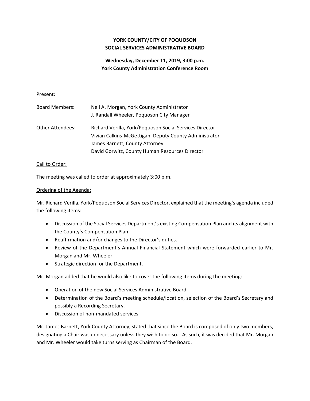# **YORK COUNTY/CITY OF POQUOSON SOCIAL SERVICES ADMINISTRATIVE BOARD**

# **Wednesday, December 11, 2019, 3:00 p.m. York County Administration Conference Room**

#### Present:

| <b>Board Members:</b> | Neil A. Morgan, York County Administrator<br>J. Randall Wheeler, Poquoson City Manager                            |
|-----------------------|-------------------------------------------------------------------------------------------------------------------|
| Other Attendees:      | Richard Verilla, York/Poquoson Social Services Director<br>Vivian Calkins-McGettigan, Deputy County Administrator |
|                       | James Barnett, County Attorney                                                                                    |
|                       | David Gorwitz, County Human Resources Director                                                                    |

#### Call to Order:

The meeting was called to order at approximately 3:00 p.m.

#### Ordering of the Agenda:

Mr. Richard Verilla, York/Poquoson Social Services Director, explained that the meeting's agenda included the following items:

- Discussion of the Social Services Department's existing Compensation Plan and its alignment with the County's Compensation Plan.
- Reaffirmation and/or changes to the Director's duties.
- Review of the Department's Annual Financial Statement which were forwarded earlier to Mr. Morgan and Mr. Wheeler.
- Strategic direction for the Department.

Mr. Morgan added that he would also like to cover the following items during the meeting:

- Operation of the new Social Services Administrative Board.
- Determination of the Board's meeting schedule/location, selection of the Board's Secretary and possibly a Recording Secretary.
- Discussion of non-mandated services.

 Mr. James Barnett, York County Attorney, stated that since the Board is composed of only two members, designating a Chair was unnecessary unless they wish to do so. As such, it was decided that Mr. Morgan and Mr. Wheeler would take turns serving as Chairman of the Board.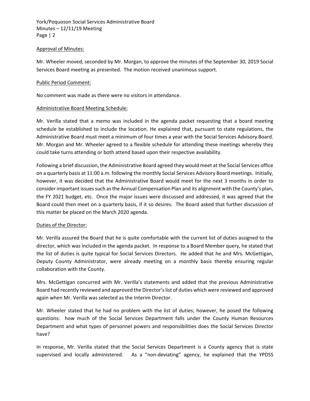#### Approval of Minutes:

 Mr. Wheeler moved, seconded by Mr. Morgan, to approve the minutes of the September 30, 2019 Social Services Board meeting as presented. The motion received unanimous support.

#### Public Period Comment:

No comment was made as there were no visitors in attendance.

#### Administrative Board Meeting Schedule:

 schedule be established to include the location. He explained that, pursuant to state regulations, the Administrative Board must meet a minimum of four times a year with the Social Services Advisory Board. Mr. Morgan and Mr. Wheeler agreed to a flexible schedule for attending these meetings whereby they could take turns attending or both attend based upon their respective availability. Mr. Verilla stated that a memo was included in the agenda packet requesting that a board meeting

 on a quarterly basis at 11:00 a.m. following the monthly Social Services Advisory Board meetings. Initially, however, it was decided that the Administrative Board would meet for the next 3 months in order to Board could then meet on a quarterly basis, if it so desires. The Board asked that further discussion of Following a brief discussion, the Administrative Board agreed they would meet at the Social Services office consider important issues such as the Annual Compensation Plan and its alignment with the County's plan, the FY 2021 budget, etc. Once the major issues were discussed and addressed, it was agreed that the this matter be placed on the March 2020 agenda.

#### Duties of the Director:

 Mr. Verilla assured the Board that he is quite comfortable with the current list of duties assigned to the director, which was included in the agenda packet. In response to a Board Member query, he stated that the list of duties is quite typical for Social Services Directors. He added that he and Mrs. McGettigan, Deputy County Administrator, were already meeting on a monthly basis thereby ensuring regular collaboration with the County.

 Mrs. McGettigan concurred with Mr. Verilla's statements and added that the previous Administrative Board had recently reviewed and approved the Director's list of duties which were reviewed and approved again when Mr. Verilla was selected as the Interim Director.

Mr. Wheeler stated that he had no problem with the list of duties; however, he posed the following questions: how much of the Social Services Department falls under the County Human Resources Department and what types of personnel powers and responsibilities does the Social Services Director have?

 In response, Mr. Verilla stated that the Social Services Department is a County agency that is state supervised and locally administered. As a "non-deviating" agency, he explained that the YPDSS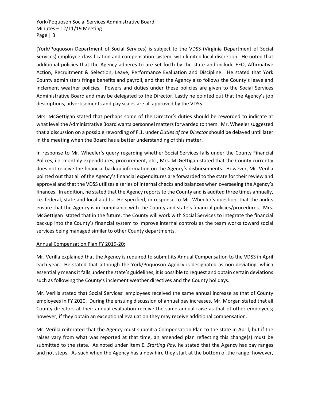Services) employee classification and compensation system, with limited local discretion. He noted that additional policies that the Agency adheres to are set forth by the state and include EEO, Affirmative County administers fringe benefits and payroll, and that the Agency also follows the County's leave and inclement weather policies. Powers and duties under these policies are given to the Social Services Administrative Board and may be delegated to the Director. Lastly he pointed out that the Agency's job (York/Poquoson Department of Social Services) is subject to the VDSS (Virginia Department of Social Action, Recruitment & Selection, Leave, Performance Evaluation and Discipline. He stated that York descriptions, advertisements and pay scales are all approved by the VDSS.

 Mrs. McGettigan stated that perhaps some of the Director's duties should be reworded to indicate at  that a discussion on a possible rewording of F.1. under *Duties of the Director* should be delayed until later what level the Administrative Board wants personnel matters forwarded to them. Mr. Wheeler suggested in the meeting when the Board has a better understanding of this matter.

 In response to Mr. Wheeler's query regarding whether Social Services falls under the County Financial Polices, i.e. monthly expenditures, procurement, etc., Mrs. McGettigan stated that the County currently does not receive the financial backup information on the Agency's disbursements. However, Mr. Verilla pointed out that all of the Agency's financial expenditures are forwarded to the state for their review and approval and that the VDSS utilizes a series of internal checks and balances when overseeing the Agency's finances. In addition, he stated that the Agency reports to the County and is audited three times annually, ensure that the Agency is in compliance with the County and state's financial policies/procedures. Mrs. McGettigan stated that in the future, the County will work with Social Services to integrate the financial i.e. federal, state and local audits. He specified, in response to Mr. Wheeler's question, that the audits backup into the County's financial system to improve internal controls as the team works toward social services being managed similar to other County departments.

#### Annual Compensation Plan FY 2019‐20:

 Mr. Verilla explained that the Agency is required to submit its Annual Compensation to the VDSS in April each year. He stated that although the York/Poquoson Agency is designated as non-deviating, which essentially means it falls under the state's guidelines, it is possible to request and obtain certain deviations such as following the County's inclement weather directives and the County holidays.

Mr. Verilla stated that Social Services' employees received the same annual increase as that of County employees in FY 2020. During the ensuing discussion of annual pay increases, Mr. Morgan stated that all County directors at their annual evaluation receive the same annual raise as that of other employees; however, if they obtain an exceptional evaluation they may receive additional compensation.

 Mr. Verilla reiterated that the Agency must submit a Compensation Plan to the state in April, but if the raises vary from what was reported at that time, an amended plan reflecting this change(s) must be submitted to the state. As noted under Item E. *Starting Pay,* he stated that the Agency has pay ranges and not steps. As such when the Agency has a new hire they start at the bottom of the range; however,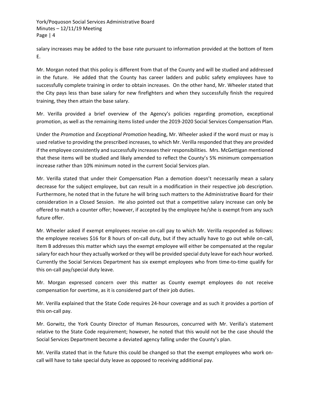salary increases may be added to the base rate pursuant to information provided at the bottom of Item E.

 Mr. Morgan noted that this policy is different from that of the County and will be studied and addressed in the future. He added that the County has career ladders and public safety employees have to successfully complete training in order to obtain increases. On the other hand, Mr. Wheeler stated that the City pays less than base salary for new firefighters and when they successfully finish the required training, they then attain the base salary.

Mr. Verilla provided a brief overview of the Agency's policies regarding promotion, exceptional promotion, as well as the remaining items listed under the 2019‐2020 Social Services Compensation Plan.

 Under the *Promotion* and *Exceptional Promotion* heading, Mr. Wheeler asked if the word must or may is that these items will be studied and likely amended to reflect the County's 5% minimum compensation used relative to providing the prescribed increases, to which Mr. Verilla responded that they are provided if the employee consistently and successfully increases their responsibilities. Mrs. McGettigan mentioned increase rather than 10% minimum noted in the current Social Services plan.

 decrease for the subject employee, but can result in a modification in their respective job description. Furthermore, he noted that in the future he will bring such matters to the Administrative Board for their consideration in a Closed Session. He also pointed out that a competitive salary increase can only be offered to match a counter offer; however, if accepted by the employee he/she is exempt from any such Mr. Verilla stated that under their Compensation Plan a demotion doesn't necessarily mean a salary future offer.

 Currently the Social Services Department has six exempt employees who from time‐to‐time qualify for Mr. Wheeler asked if exempt employees receive on‐call pay to which Mr. Verilla responded as follows: the employee receives \$16 for 8 hours of on-call duty, but if they actually have to go out while on-call, Item B addresses this matter which says the exempt employee will either be compensated at the regular salary for each hour they actually worked or they will be provided special duty leave for each hour worked. this on‐call pay/special duty leave.

Mr. Morgan expressed concern over this matter as County exempt employees do not receive compensation for overtime, as it is considered part of their job duties.

Mr. Verilla explained that the State Code requires 24‐hour coverage and as such it provides a portion of this on‐call pay.

 relative to the State Code requirement; however, he noted that this would not be the case should the Mr. Gorwitz, the York County Director of Human Resources, concurred with Mr. Verilla's statement Social Services Department become a deviated agency falling under the County's plan.

 Mr. Verilla stated that in the future this could be changed so that the exempt employees who work on‐ call will have to take special duty leave as opposed to receiving additional pay.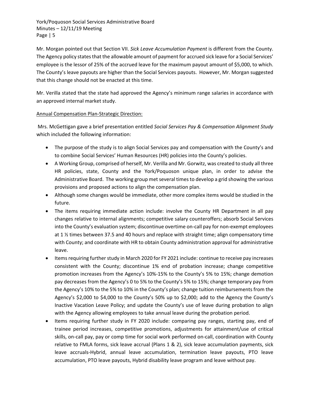Mr. Morgan pointed out that Section VII. *Sick Leave Accumulation Payment* is different from the County. The Agency policy states that the allowable amount of payment for accrued sick leave for a Social Services' employee is the lessor of 25% of the accrued leave for the maximum payout amount of \$5,000, to which. The County's leave payouts are higher than the Social Services payouts. However, Mr. Morgan suggested that this change should not be enacted at this time.

Mr. Verilla stated that the state had approved the Agency's minimum range salaries in accordance with an approved internal market study.

# Annual Compensation Plan‐Strategic Direction:

Mrs. McGettigan gave a brief presentation entitled *Social Services Pay & Compensation Alignment Study* which included the following information:

- The purpose of the study is to align Social Services pay and compensation with the County's and to combine Social Services' Human Resources (HR) policies into the County's policies.
- A Working Group, comprised of herself, Mr. Verilla and Mr. Gorwitz, was created to study all three HR policies, state, County and the York/Poquoson unique plan, in order to advise the Administrative Board. The working group met several times to develop a grid showing the various provisions and proposed actions to align the compensation plan.
- Although some changes would be immediate, other more complex items would be studied in the future.
- The items requiring immediate action include: involve the County HR Department in all pay changes relative to internal alignments; competitive salary counteroffers; absorb Social Services into the County's evaluation system; discontinue overtime on‐call pay for non‐exempt employees at 1 ½ times between 37.5 and 40 hours and replace with straight time; align compensatory time with County; and coordinate with HR to obtain County administration approval for administrative leave.
- consistent with the County; discontinue 1% end of probation increase; change competitive promotion increases from the Agency's 10%‐15% to the County's 5% to 15%; change demotion pay decreases from the Agency's 0 to 5% to the County's 5% to 15%; change temporary pay from the Agency's 10% to the 5% to 10% in the County's plan; change tuition reimbursements from the Agency's \$2,000 to \$4,000 to the County's 50% up to \$2,000; add to the Agency the County's with the Agency allowing employees to take annual leave during the probation period. • Items requiring further study in March 2020 for FY 2021 include: continue to receive pay increases Inactive Vacation Leave Policy; and update the County's use of leave during probation to align
- Items requiring further study in FY 2020 include: comparing pay ranges, starting pay, end of trainee period increases, competitive promotions, adjustments for attainment/use of critical skills, on-call pay, pay or comp time for social work performed on-call, coordination with County relative to FMLA forms, sick leave accrual (Plans 1 & 2), sick leave accumulation payments, sick leave accruals‐Hybrid, annual leave accumulation, termination leave payouts, PTO leave accumulation, PTO leave payouts, Hybrid disability leave program and leave without pay.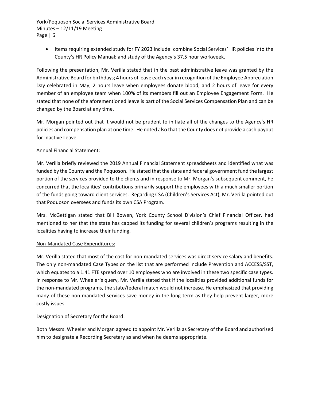Items requiring extended study for FY 2023 include: combine Social Services' HR policies into the County's HR Policy Manual; and study of the Agency's 37.5 hour workweek.

 Administrative Board for birthdays; 4 hours of leave each year in recognition of the Employee Appreciation Day celebrated in May; 2 hours leave when employees donate blood; and 2 hours of leave for every member of an employee team when 100% of its members fill out an Employee Engagement Form. He stated that none of the aforementioned leave is part of the Social Services Compensation Plan and can be Following the presentation, Mr. Verilla stated that in the past administrative leave was granted by the changed by the Board at any time.

 Mr. Morgan pointed out that it would not be prudent to initiate all of the changes to the Agency's HR policies and compensation plan at one time. He noted also that the County does not provide a cash payout for Inactive Leave.

### Annual Financial Statement:

 funded by the County and the Poquoson. He stated that the state and federal government fund the largest portion of the services provided to the clients and in response to Mr. Morgan's subsequent comment, he of the funds going toward client services. Regarding CSA (Children's Services Act), Mr. Verilla pointed out Mr. Verilla briefly reviewed the 2019 Annual Financial Statement spreadsheets and identified what was concurred that the localities' contributions primarily support the employees with a much smaller portion that Poquoson oversees and funds its own CSA Program.

Mrs. McGettigan stated that Bill Bowen, York County School Division's Chief Financial Officer, had mentioned to her that the state has capped its funding for several children's programs resulting in the localities having to increase their funding.

#### Non‐Mandated Case Expenditures:

 The only non‐mandated Case Types on the list that are performed include Prevention and ACCESS/SST, many of these non‐mandated services save money in the long term as they help prevent larger, more Mr. Verilla stated that most of the cost for non-mandated services was direct service salary and benefits. which equates to a 1.41 FTE spread over 10 employees who are involved in these two specific case types. In response to Mr. Wheeler's query, Mr. Verilla stated that if the localities provided additional funds for the non-mandated programs, the state/federal match would not increase. He emphasized that providing costly issues.

### Designation of Secretary for the Board:

 Both Messrs. Wheeler and Morgan agreed to appoint Mr. Verilla as Secretary of the Board and authorized him to designate a Recording Secretary as and when he deems appropriate.